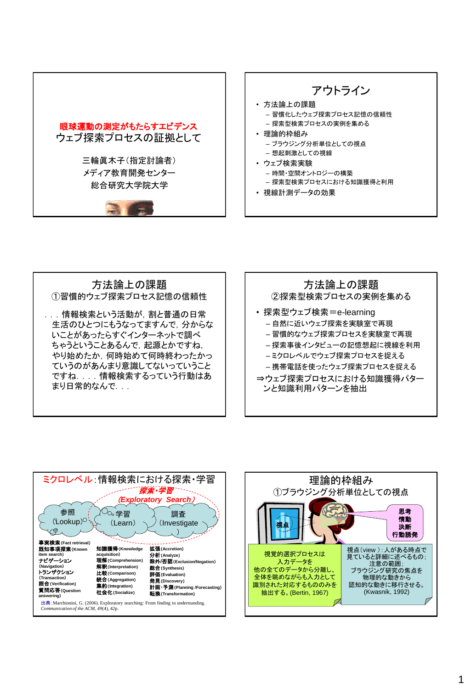

## アウトライン

- 方法論上の課題
	- 習慣化したウェブ探索プロセス記憶の信頼性 – 探索型検索プロセスの実例を集める
- 理論的枠組み
	-
	- ブラウジング分析単位としての視点 – 想起刺激としての視線
- ウェブ検索実験
- 時間・空間オントロジーの構築
	- 探索型検索プロセスにおける知識獲得と利用
- 視線計測データの効果

方法論上の課題 ①習慣的ウェブ探索プロセス記憶の信頼性 ...情報検索という活動が,割と普通の日常 生活のひとつにもうなってますんで、分からな いことがあったらすぐインターネットで調べ ちゃうということあるんで,起源とかですね, やり始めたか,何時始めて何時終わったかっ ていうのがあんまり意識してないっていうこと ですね....情報検索するっていう行動はあ まり日常的なんで...

## 方法論上の課題 ②探索型検索プロセスの実例を集める • 探索型ウェブ検索=e-learning – 自然に近いウェブ探索を実験室で再現 – 習慣的なウェブ探索プロセスを実験室で再現 – 探索事後インタビューの記憶想起に視線を利用 – ミクロレベルでウェブ探索プロセスを捉える – 携帯電話を使ったウェブ探索プロセスを捉える ⇒ウェブ探索プロセスにおける知識獲得パター ンと知識利用パターンを抽出



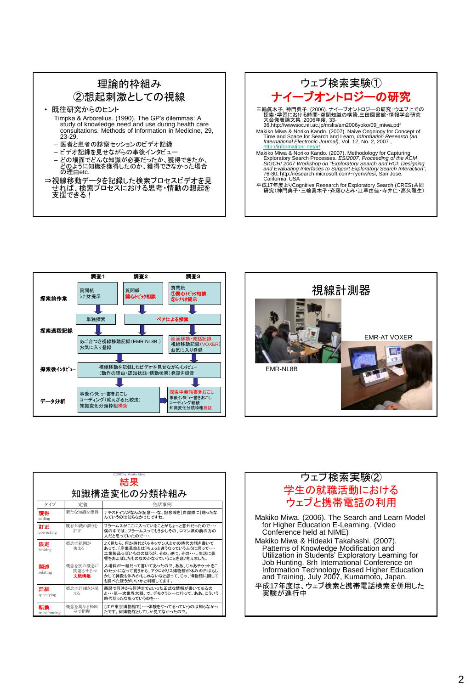## 理論的枠組み ②想起刺激としての視線

- 既往研究からのヒント
	- Timpka & Arborelius. (1990). The GP's dilemmas: A study of knowledge need and use during health care consultations. Methods of Information in Medicine, 29, 23-29.
	- 医者と患者の診察セッションのビデオ記録
	- ビデオ記録を見せながらの事後インタビュー
	- どの場面でどんな知識が必要だったか、獲得できたか、 どのように知識を獲得したのか、獲得できなかった場合 の理由etc.
- ⇒視線移動データを記録した検索プロセスビデオを見 せれば、検索プロセスにおける思考・情動の想起を 支援できる!







| C2007 by Makiko Miwa |                            |                                                                                                                                    |  |  |
|----------------------|----------------------------|------------------------------------------------------------------------------------------------------------------------------------|--|--|
| 結果                   |                            |                                                                                                                                    |  |  |
| 知識構造変化の分類枠組み         |                            |                                                                                                                                    |  |  |
| タイプ                  | 定義                         | 発話事例                                                                                                                               |  |  |
| 獲得<br>adding         | 新たな知識を獲得                   | ナチスドイツがなんか記念・・・な、記念碑を「白虎隊に]贈ったな<br>んていうのは知らなかったですね。                                                                                |  |  |
| 訂正<br>correcting     | 既存知識の誤りを<br>訂正             | ブラームスがここに入っていることがちょっと意外だったので・・・<br>僕の中では、ブラームスってもう少しその、ロマン派の前の方の<br>人だと思っていたので・・・                                                  |  |  |
| 限定<br>limiting       | 概念の範囲が<br>狭まろ              | よく見たら、何か時代がルネッサンスとかの時代の話を書いて<br>あって、「産業革命とは「ちょっと違うなっていうふうに思って・・・<br>工業製品っぽいもののほうが、その、逆に、その・・・。生活に影<br>響をおよぼしたものなのかなっていうことを頭ノ考えました。 |  |  |
| 関連<br>relating       | 概念を別の概念に<br>関連させる⇒<br>文脈構築 | 入場料が一緒だって書いてあったので、ああ、じゃあチケットをこ<br>のセットになって買うから、アクロポリス博物館が休みの日はもし<br>かして神殿も休みかもしれないなと思って、じゃ、博物館に関して<br>も調べたほうがいいかと判断してます。           |  |  |
| 詳細<br>specifying     | 概念の詳細さが深<br>まる             | 西暦で何時から何時までといった正式な情報が書いてあるの<br>と・・・第一次世界大戦、で、デモクラシーに行って、ああ、こういう<br>時代だったなあっていうのを…                                                  |  |  |
| 転換<br>transforming   | 概念を異なる枠組<br>みで把握           | 「江戸東京博物館で]・・・体験をやってるっていうのは知らなかっ<br>たです。何博物館としてしか見てなかったので。                                                                          |  |  |